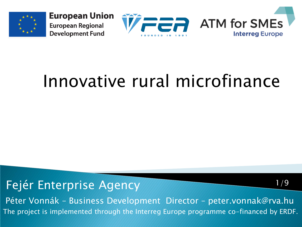



### Innovative rural microfinance

Fejér Enterprise Agency

The project is implemented through the Interreg Europe programme co-financed by ERDF. Péter Vonnák – Business Development Director – peter.vonnak@rva.hu

1/9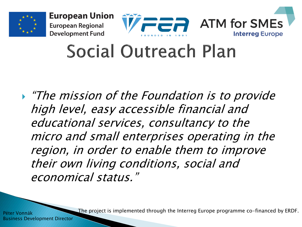





### Social Outreach Plan

 $\blacktriangleright$  "The mission of the Foundation is to provide" high level, easy accessible financial and educational services, consultancy to the micro and small enterprises operating in the region, in order to enable them to improve their own living conditions, social and economical status."

The project is implemented through the Interreg Europe programme co-financed by ERDF.

Péter Vonnák Business Development Director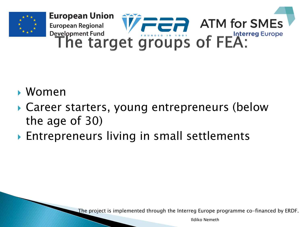

- Women
- Career starters, young entrepreneurs (below the age of 30)
- ▶ Entrepreneurs living in small settlements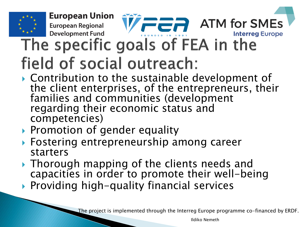

- Contribution to the sustainable development of the client enterprises, of the entrepreneurs, their families and communities (development regarding their economic status and competencies)
- ▶ Promotion of gender equality
- Fostering entrepreneurship among career starters
- ▶ Thorough mapping of the clients needs and capacities in order to promote their well-being
- ▶ Providing high-quality financial services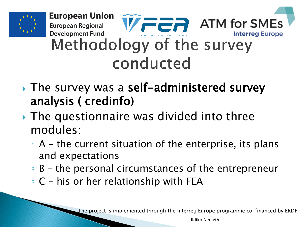

- ▶ The survey was a self-administered survey analysis ( credinfo)
- ▶ The questionnaire was divided into three modules:
	- A the current situation of the enterprise, its plans and expectations
	- B the personal circumstances of the entrepreneur
	- C his or her relationship with FEA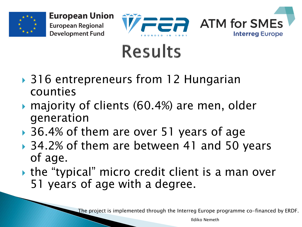



## **Results**

- ▶ 316 entrepreneurs from 12 Hungarian counties
- ▶ majority of clients (60.4%) are men, older generation
- ▶ 36.4% of them are over 51 years of age
- ▶ 34.2% of them are between 41 and 50 years of age.
- the "typical" micro credit client is a man over 51 years of age with a degree.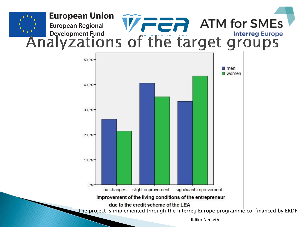

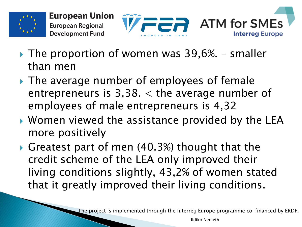



- $\triangleright$  The proportion of women was 39,6%. smaller than men
- ▶ The average number of employees of female entrepreneurs is  $3,38.$   $\lt$  the average number of employees of male entrepreneurs is 4,32
- ▶ Women viewed the assistance provided by the LEA more positively
- Greatest part of men (40.3%) thought that the credit scheme of the LEA only improved their living conditions slightly, 43,2% of women stated that it greatly improved their living conditions.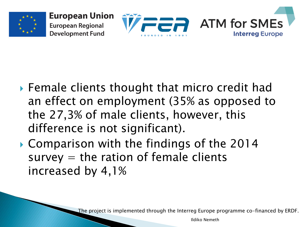





- ▶ Female clients thought that micro credit had an effect on employment (35% as opposed to the 27,3% of male clients, however, this difference is not significant).
- ▶ Comparison with the findings of the 2014  $survey = the ratio of female clients$ increased by 4,1%

The project is implemented through the Interreg Europe programme co-financed by ERDF.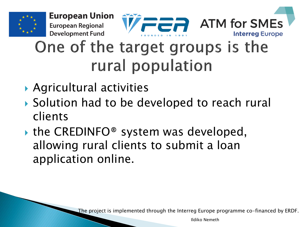



#### One of the target groups is the rural population

Agricultural activities

**European Regional Development Fund** 

- ▶ Solution had to be developed to reach rural clients
- $\triangleright$  the CREDINFO<sup>®</sup> system was developed, allowing rural clients to submit a loan application online.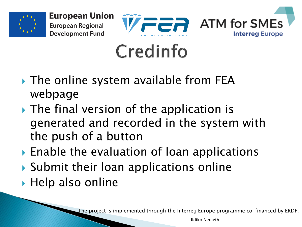





# Credinfo

- ▶ The online system available from FEA webpage
- ▶ The final version of the application is generated and recorded in the system with the push of a button
- ▶ Enable the evaluation of loan applications
- ▶ Submit their loan applications online
- $\blacktriangleright$  Help also online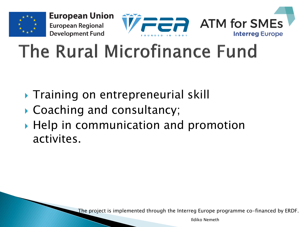

# The Rural Microfinance Fund

- **Training on entrepreneurial skill**
- ▶ Coaching and consultancy;
- ▶ Help in communication and promotion activites.

The project is implemented through the Interreg Europe programme co-financed by ERDF.